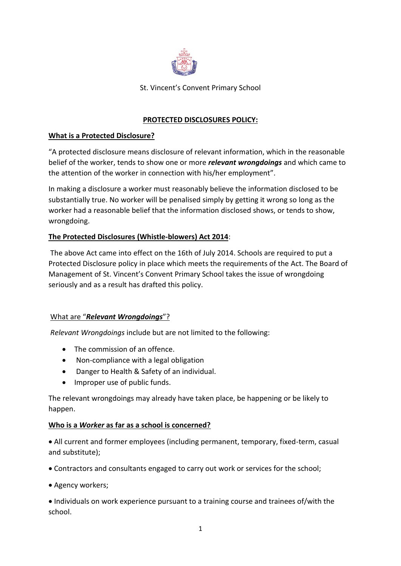

St. Vincent's Convent Primary School

## **PROTECTED DISCLOSURES POLICY:**

### **What is a Protected Disclosure?**

"A protected disclosure means disclosure of relevant information, which in the reasonable belief of the worker, tends to show one or more *relevant wrongdoings* and which came to the attention of the worker in connection with his/her employment".

In making a disclosure a worker must reasonably believe the information disclosed to be substantially true. No worker will be penalised simply by getting it wrong so long as the worker had a reasonable belief that the information disclosed shows, or tends to show, wrongdoing.

### **The Protected Disclosures (Whistle-blowers) Act 2014**:

The above Act came into effect on the 16th of July 2014. Schools are required to put a Protected Disclosure policy in place which meets the requirements of the Act. The Board of Management of St. Vincent's Convent Primary School takes the issue of wrongdoing seriously and as a result has drafted this policy.

#### What are "*Relevant Wrongdoings*"?

*Relevant Wrongdoings* include but are not limited to the following:

- The commission of an offence.
- Non-compliance with a legal obligation
- Danger to Health & Safety of an individual.
- Improper use of public funds.

The relevant wrongdoings may already have taken place, be happening or be likely to happen.

#### **Who is a** *Worker* **as far as a school is concerned?**

 All current and former employees (including permanent, temporary, fixed-term, casual and substitute);

Contractors and consultants engaged to carry out work or services for the school;

• Agency workers;

 Individuals on work experience pursuant to a training course and trainees of/with the school.